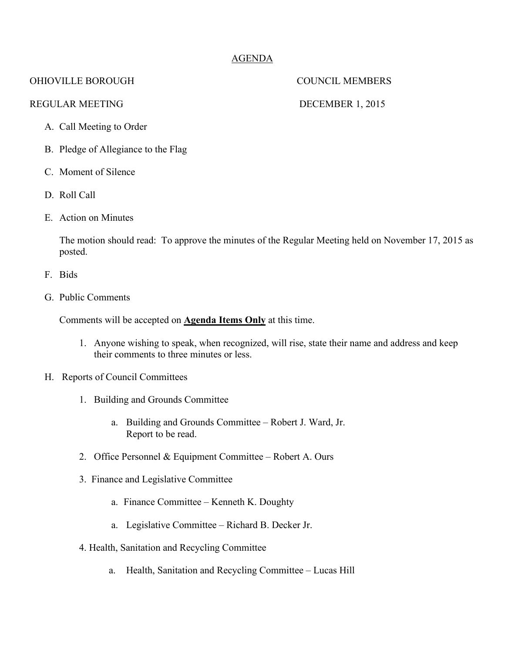# AGENDA

## OHIOVILLE BOROUGH COUNCIL MEMBERS

### REGULAR MEETING DECEMBER 1, 2015

- A. Call Meeting to Order
- B. Pledge of Allegiance to the Flag
- C. Moment of Silence
- D. Roll Call
- E. Action on Minutes

The motion should read: To approve the minutes of the Regular Meeting held on November 17, 2015 as posted.

- F. Bids
- G. Public Comments

Comments will be accepted on **Agenda Items Only** at this time.

- 1. Anyone wishing to speak, when recognized, will rise, state their name and address and keep their comments to three minutes or less.
- H. Reports of Council Committees
	- 1. Building and Grounds Committee
		- a. Building and Grounds Committee Robert J. Ward, Jr. Report to be read.
	- 2. Office Personnel & Equipment Committee Robert A. Ours
	- 3. Finance and Legislative Committee
		- a. Finance Committee Kenneth K. Doughty
		- a. Legislative Committee Richard B. Decker Jr.
	- 4. Health, Sanitation and Recycling Committee
		- a. Health, Sanitation and Recycling Committee Lucas Hill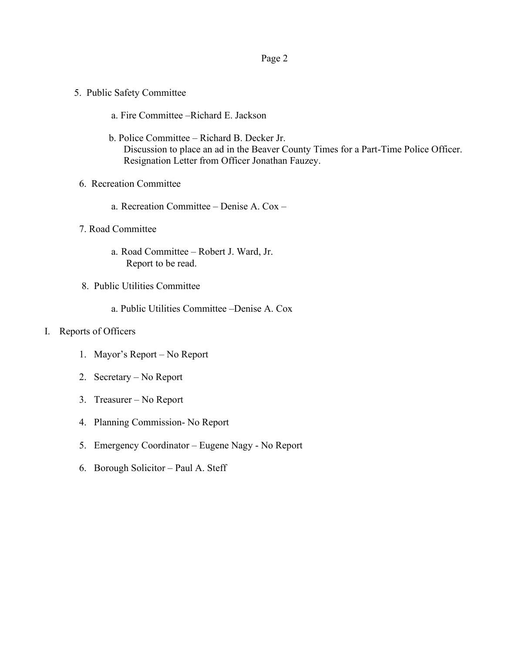### Page 2

- 5. Public Safety Committee
	- a. Fire Committee –Richard E. Jackson
	- b. Police Committee Richard B. Decker Jr. Discussion to place an ad in the Beaver County Times for a Part-Time Police Officer. Resignation Letter from Officer Jonathan Fauzey.
- 6. Recreation Committee
	- a. Recreation Committee Denise A. Cox –
- 7. Road Committee
	- a. Road Committee Robert J. Ward, Jr. Report to be read.
- 8. Public Utilities Committee
	- a. Public Utilities Committee –Denise A. Cox

### I. Reports of Officers

- 1. Mayor's Report No Report
- 2. Secretary No Report
- 3. Treasurer No Report
- 4. Planning Commission- No Report
- 5. Emergency Coordinator Eugene Nagy No Report
- 6. Borough Solicitor Paul A. Steff